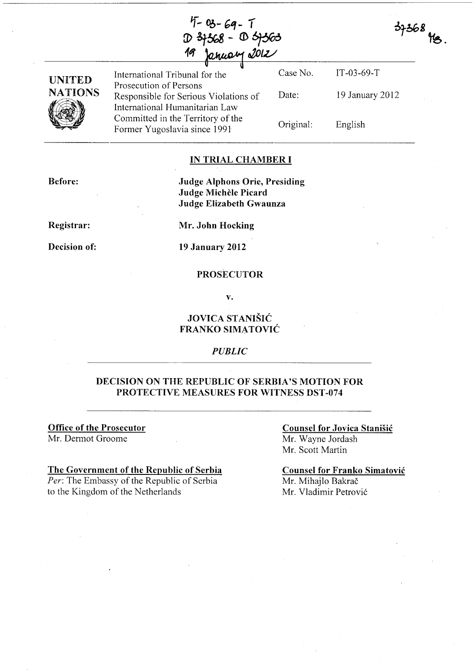$5 - 03 - 69 - 1$  $D$  3+368 -  $D$  5+363 anuary 2012



International Tribunal for the Case No. Prosecution of Persons Responsible for Serious Violations of International Humanitarian Law Committed in the Territory of the Former Yugoslavia since 1991 Date: Original: IT -03-69-T 19 January 2012 English

### IN TRIAL CHAMBER I

Before:

Judge Alphons Orie, Presiding Judge Michèle Picard Judge Elizabeth Gwaunza

Registrar:

Decision of:

Mr. John Hocking

19 January 2012

#### PROSECUTOR

v.

### JOVICA STANISIC FRANKO SIMATOVIC

#### *PUBLIC*

### DECISION ON THE REPUBLIC OF SERBIA'S MOTION FOR PROTECTIVE MEASURES FOR WITNESS DST-074

Office of the Prosecutor Mr. Dermot Groome

### The Government of the Republic of Serbia

*Per:* The Embassy of the Republic of Serbia to the Kingdom of the Netherlands

#### Counsel for Jovica Stanisic Mr. Wayne Jordash Mr. Scott Martin

 $37368$  MB.

Counsel for Franko Simatovic Mr. Mihajlo Bakrač Mr. Vladimir Petrovic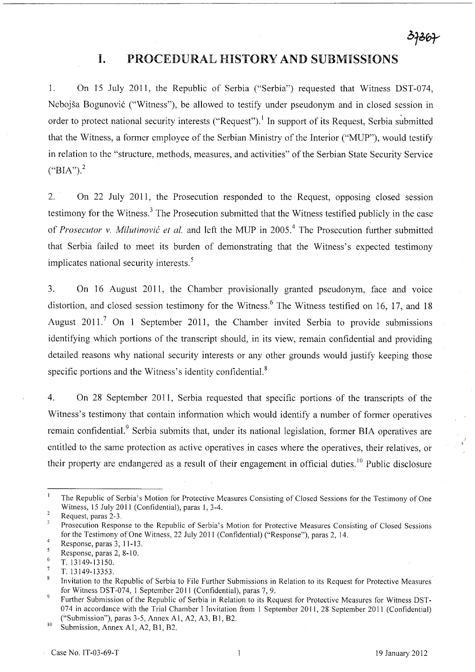# **I.** PROCEDURAL HISTORY AND SUBMISSIONS

1. On 15 July 2011, the Republic of Serbia ("Serbia") requested that Witness DST-074, Nebojsa Bogunovic ("Witness"), be allowed to testify under pseudonym and in closed session in order to protect national security interests ("Request").<sup>1</sup> In support of its Request, Serbia submitted that the Witness, a former employee of the Serbian Ministry of the Interior ("MUP"), would testify in relation to the "structure, methods, measures, and activities" of the Serbian State Security Service  $({}^{\circ}BIA^{\prime\prime})$ .<sup>2</sup>

2. On 22 July 2011, the Prosecution responded to the Request, opposing closed session testimony for the Witness? The Prosecution submitted that the Witness testified publicly in the case of *Prosecutor* v. *Milutinovic et al.* and left the MUP in 2005.<sup>4</sup>The Prosecution further submitted that Serbia failed to· meet its burden of demonstrating that the Witness's expected testimony implicates national security interests. 5

3. On 16 August 2011, the Chamber provisionally granted pseudonym, face and voice distortion, and closed session testimony for the Witness.<sup>6</sup> The Witness testified on 16, 17, and 18 August  $2011$ .<sup>7</sup> On 1 September 2011, the Chamber invited Serbia to provide submissions identifying which portions of the transcript should, in its view, remain confidential and providing detailed reasons why national security interests or any other grounds would justify keeping those specific portions and the Witness's identity confidential.<sup>8</sup>

4. On 28 September 2011, Serbia requested that specific portions of the transcripts of the Witness's testimony that contain information which would identify a number of former operatives remain confidential.<sup>9</sup> Serbia submits that, under its national legislation, former BIA operatives are entitled to the same protection as active operatives in cases where the operatives, their relatives, or their property are endangered as a result of their engagement in official duties.<sup>10</sup> Public disclosure

 $\bar{1}$ The Republic of Serbia's Motion for Protective Measures Consisting of Closed Sessions for the Testimony of One Witness, 15 July 2011 (Confidential), paras 1, 3-4.

 $\overline{c}$ Request, paras 2-3.

 $\overline{\mathbf{3}}$ Prosecution Response to the Republic of Serbia's Motion for Protective Measures Consisting of Closed Sessions for the Testimony of One Witness, 22 July 2011 (Confidential) ("Response"), paras 2, 14.  $\overline{4}$ 

Response, paras 3, 11-13.  $\overline{\mathbf{S}}$ 

<sup>6</sup>  Response, paras 2, 8-10.

T. 13149-13150.

T. 13149-13353.  $\mathbf{a}$ 

Invitation to the Republic of Serbia to File Further Submissions in Relation to its Request for Protective Measures for Witness DST-074, 1 September 2011 (Confidential), paras 7, 9.  $\overline{9}$ 

Further Submission of the Republic of Serbia in Relation to its Request for Protective Measures for Witness DST-074 in accordance with the Trial Chamber I Invitation from 1 September 2011, 28 September 2011 (Confidential) ("Submission"), paras 3-5, Annex AI, A2, A3, B1, 82.

 $10$  Submission, Annex A1, A2, B1, B2.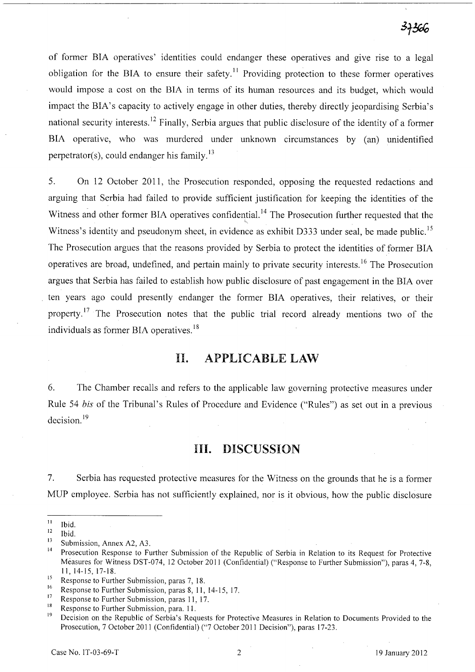of former BIA operatives' identities could endanger these operatives and give rise to a legal obligation for the BIA to ensure their safety.<sup>11</sup> Providing protection to these former operatives would impose a cost on the BIA in terms of its human resources and its budget, which would impact the BIA's capacity to actively engage in other duties, thereby directly jeopardising Serbia's national security interests.<sup>12</sup> Finally, Serbia argues that public disclosure of the identity of a former BIA operative, who was murdered under unknown circumstances by (an) unidentified perpetrator(s), could endanger his family.<sup>13</sup>

5. On 12 October 2011, the Prosecution responded, opposing the requested redactions and arguing that Serbia had failed to provide sufficient justification for keeping the identities of the Witness and other former BIA operatives confidential.<sup>14</sup> The Prosecution further requested that the ~. Witness's identity and pseudonym sheet, in evidence as exhibit D333 under seal, be made public.<sup>15</sup> The Prosecution argues that the reasons provided by Serbia to protect the identities of former BIA operatives are broad, undefined, and pertain mainly to private security interests. 16 The Prosecution argues that Serbia has failed to establish how public disclosure of past engagement in the BIA over ten years ago could presently endanger the former BIA operatives, their relatives, or their property.<sup>17</sup> The Prosecution notes that the public trial record already mentions two of the individuals as former BIA operatives.<sup>18</sup>

### II. APPLICABLE LAW

6. The Chamber recalls and refers to the applicable law governing protective measures under Rule 54 *his* of the Tribunal's Rules of Procedure and Evidence ("Rules") as set out in a previous decision. 19

## Ill. DISCUSSION

7. Serbia has requested protective measures for the Witness on the grounds that he is a former MUP employee. Serbia has not sufficiently explained, nor is it obvious, how the public disclosure

 $\frac{11}{12}$  Ibid.

 $\frac{12}{13}$  Ibid.

 $13$  Submission, Annex A2, A3.

<sup>14</sup>Prosecution Response to Further Submission of the Republic of Serbia in Relation to its Request for Protective Measures for Witness DST-074, 12 October 2011 (Confidential) ("Response to Further Submission"), paras 4, 7-8, 1 I, 14-15, 17-18.

<sup>&</sup>lt;sup>15</sup> Response to Further Submission, paras 7, 18.<br><sup>16</sup> Besponse to Further Submission, paras 8, 11.

<sup>&</sup>lt;sup>16</sup> Response to Further Submission, paras 8, 11, 14-15, 17.

<sup>&</sup>lt;sup>17</sup> Response to Further Submission, paras 11, 17.

<sup>&</sup>lt;sup>18</sup>Response to Further Submission, para. 11.

Decision on the Republic of Serbia's Requests for Protective Measures in Relation to Documents Provided to the Prosecution, 7 October 2011 (Confidential) ("7 October 2011 Decision"), paras 17-23.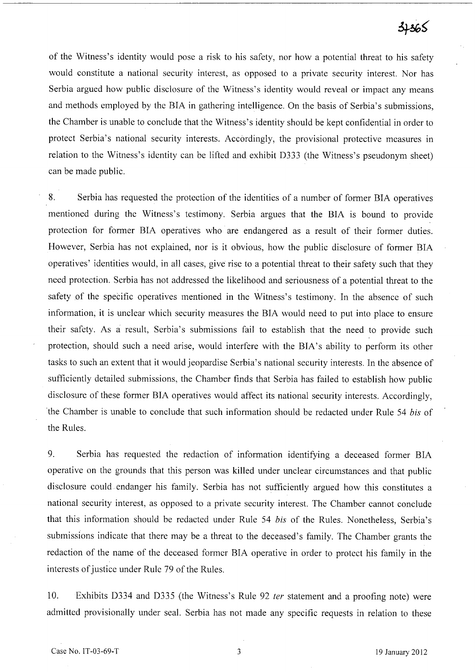# 37365

of the Witness's identity would pose a risk to his safety, nor how a potential threat to his safety would constitute a national security interest, as opposed to a private security interest. Nor has Serbia argued how public disclosure of the Witness's identity would reveal or impact any means and methods employed by the BIA in gathering intelligence. On the basis of Serbia's submissions, the Chamber is unable to conclude that the Witness's identity should be kept confidential in order to protect Serbia's national security interests. Accordingly, the provisional protective measures in relation to the Witness's identity can be lifted and exhibit D333 (the Witness's pseudonym sheet) can be made public.

8. Serbia has requested the protection of the identities of a number of former BIA operatives mentioned during the Witness's testimony. Serbia argues that the BIA is bound to provide protection for former BIA operatives who are endangered as a result of their former duties. However, Serbia has not explained, nor is it obvious, how the public disclosure of former BIA operatives' identities would, in all cases, give rise to a potential threat to their safety such that they need protection. Serbia has not addressed the likelihood and seriousness of a potential threat to the safety of the specific operatives mentioned in the Witness's testimony. In the absence of such information, it is unclear which security measures the BIA would need to put into place to ensure their safety. As a: result, Serbia's submissions fail to establish that the need to provide such protection, should such a need arise, would interfere with the BIA's ability to perform its other tasks to such an extent that it would jeopardise Serbia's national security interests. In the absence of sufficiently detailed submissions, the Chamber finds that Serbia has failed to establish how public disclosure of these former BIA operatives would affect its national security interests. Accordingly, ·the Chamber is unable to conclude that such information should be redacted under Rule 54 *bis* of the Rules.

9. Serbia has requested the redaction of information identifying a deceased former BIA operative on the grounds that this person was killed under unclear circumstances and that public disclosure could. endanger his family. Serbia has not sufficiently argued how this constitutes a national security interest, as opposed to a private security interest. The Chamber cannot conclude that this information should be redacted under Rule 54 *bis* of the Rules. Nonetheless, Serbia's submissions indicate that there may be a threat to the deceased's family. The Chamber grants the redaction of the name of the deceased former BIA operative in order to protect his family in the interests of justice under Rule 79 of the Rules.

10. Exhibits D334 and D335 (the Witness's Rule 92 fer statement and a proofing note) were admitted provisionally under seal. Serbia has not made any specific requests in relation to these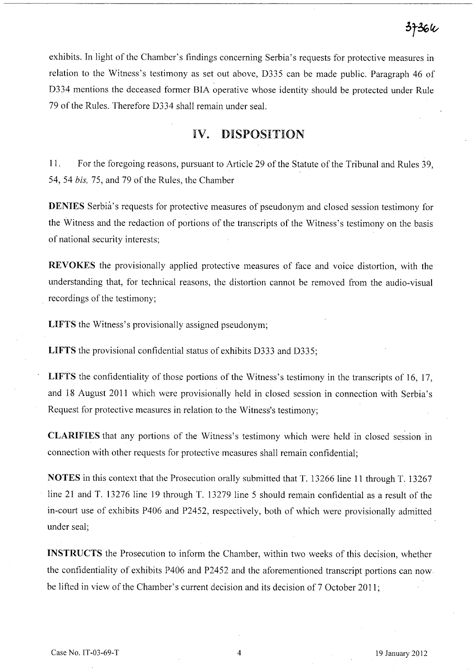# 3736k

exhibits. In light of the Chamber's findings concerning Serbia's requests for protective measures in relation to the Witness's testimony as set out above, D335 can be made public. Paragraph 46 of D334 mentions the deceased former BIA operative whose identity should be protected under Rule 79 of the Rules. Therefore D334 shall remain under seal.

## IV. DISPOSITION

11. For the foregoing reasons, pursuant to Article 29 of the Statute of the Tribunal and Rules 39, *54,54 bis,* 75, and 79 of the Rules, the Chamber

DENIES Serbia's requests for protective measures of pseudonym and closed session testimony for the Witness and the redaction of portions of the transcripts of the Witness's testimony on the basis of national security interests;

REVOKES the provisionally applied protective measures of face and voice distortion, with the understanding that, for technical reasons, the distortion cannot be removed from the audio-visual recordings of the testimony;

LIFTS the Witness's provisionally assigned pseudonym;

LIFTS the provisional confidential status of exhibits D333 and D335;

LIFTS the confidentiality of those portions of the Witness's testimony in the transcripts of 16, 17, and 18 August 2011 which were provisionally held in closed session in connection with Serbia's Request for protective measures in relation to the Witness's testimony;

CLARIFIES that any portions of the Witness's testimony which were held in closed session in connection with other requests for protective measures shall remain confidential;

NOTES in this context that the Prosecution orally submitted that T. 13266 line 11 through T. 13267 line 21 and T. 13276 line 19 through T. 13279 line 5 should remain confidential as a result of the in-court use of exhibits P406 and P2452, respectively, both of which were provisionally admitted under seal;

INSTRUCTS the Prosecution to inform the Chamber, within two weeks of this decision, whether the confidentiality of exhibits P406 and P2452 and the aforementioned transcript portions can now be lifted in view of the Chamber's current decision and its decision of 7 October 2011 ;